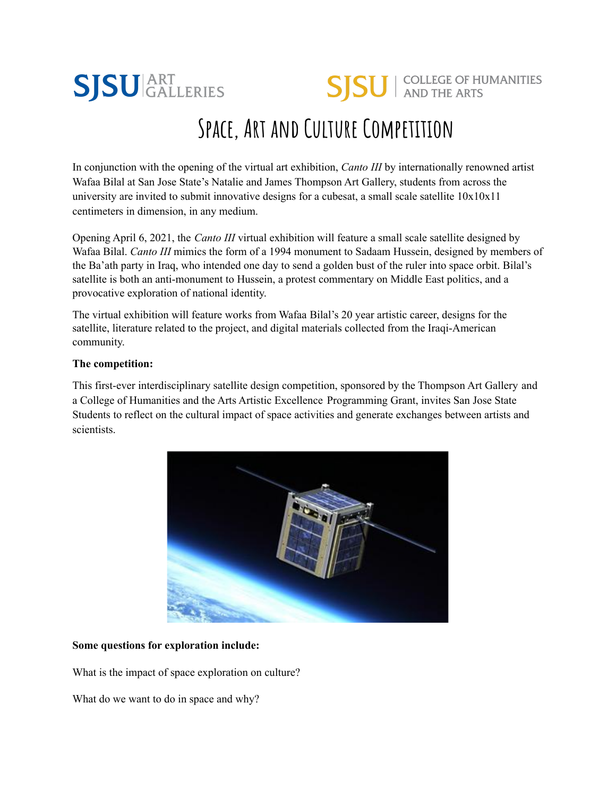

# In conjunction with the opening of the virtual art exhibition, *Canto III* by internationally renowned artist Wafaa Bilal at San Jose State's Natalie and James Thompson Art Gallery, students from across the university are invited to submit innovative designs for a cubesat, a small scale satellite  $10x10x11$ centimeters in dimension, in any medium.

Opening April 6, 2021, the *Canto III* virtual exhibition will feature a small scale satellite designed by Wafaa Bilal. *Canto III* mimics the form of a 1994 monument to Sadaam Hussein, designed by members of the Ba'ath party in Iraq, who intended one day to send a golden bust of the ruler into space orbit. Bilal's satellite is both an anti-monument to Hussein, a protest commentary on Middle East politics, and a provocative exploration of national identity.

The virtual exhibition will feature works from Wafaa Bilal's 20 year artistic career, designs for the satellite, literature related to the project, and digital materials collected from the Iraqi-American community.

#### **The competition:**

This first-ever interdisciplinary satellite design competition, sponsored by the Thompson Art Gallery and a College of Humanities and the Arts Artistic Excellence Programming Grant, invites San Jose State Students to reflect on the cultural impact of space activities and generate exchanges between artists and scientists.



## **Some questions for exploration include:**

What is the impact of space exploration on culture?

What do we want to do in space and why?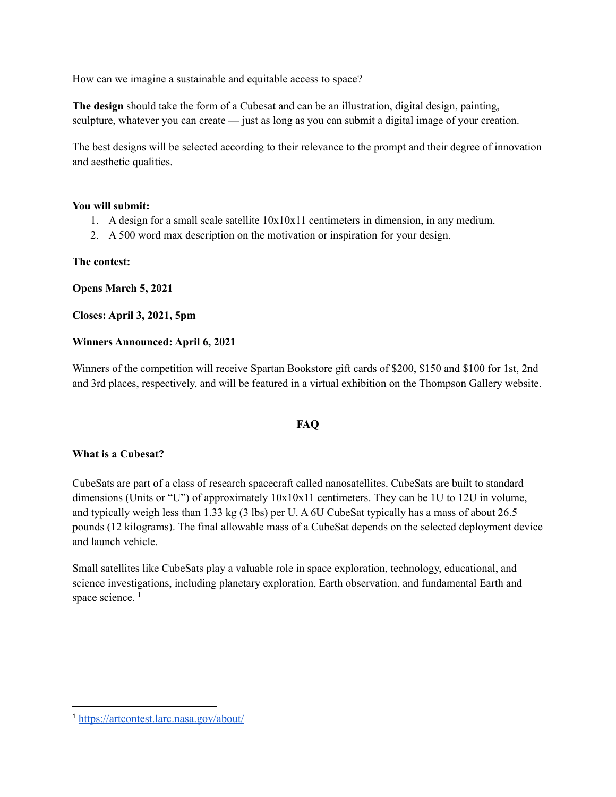How can we imagine a sustainable and equitable access to space?

**The design** should take the form of a Cubesat and can be an illustration, digital design, painting, sculpture, whatever you can create — just as long as you can submit a digital image of your creation.

The best designs will be selected according to their relevance to the prompt and their degree of innovation and aesthetic qualities.

#### **You will submit:**

- 1. A design for a small scale satellite 10x10x11 centimeters in dimension, in any medium.
- 2. A 500 word max description on the motivation or inspiration for your design.

## **The contest:**

**Opens March 5, 2021**

**Closes: April 3, 2021, 5pm**

## **Winners Announced: April 6, 2021**

Winners of the competition will receive Spartan Bookstore gift cards of \$200, \$150 and \$100 for 1st, 2nd and 3rd places, respectively, and will be featured in a virtual exhibition on the Thompson Gallery website.

## **FAQ**

## **What is a Cubesat?**

CubeSats are part of a class of research spacecraft called nanosatellites. CubeSats are built to standard dimensions (Units or "U") of approximately 10x10x11 centimeters. They can be 1U to 12U in volume, and typically weigh less than 1.33 kg (3 lbs) per U. A 6U CubeSat typically has a mass of about 26.5 pounds (12 kilograms). The final allowable mass of a CubeSat depends on the selected deployment device and launch vehicle.

Small satellites like CubeSats play a valuable role in space exploration, technology, educational, and science investigations, including planetary exploration, Earth observation, and fundamental Earth and space science.<sup>1</sup>

<sup>1</sup> <https://artcontest.larc.nasa.gov/about/>